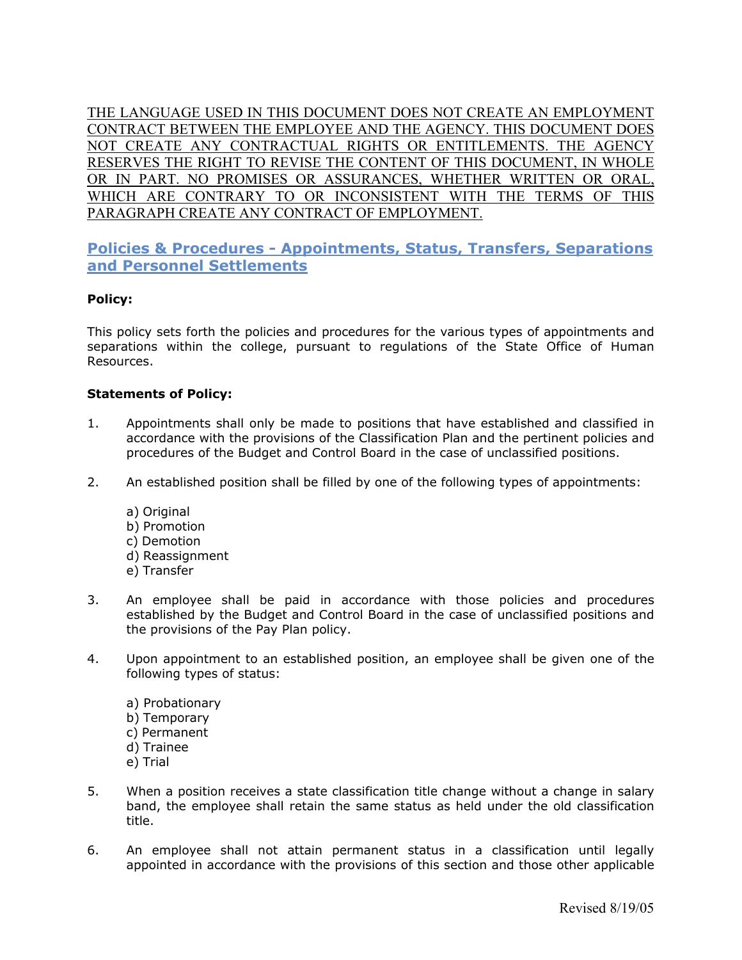THE LANGUAGE USED IN THIS DOCUMENT DOES NOT CREATE AN EMPLOYMENT CONTRACT BETWEEN THE EMPLOYEE AND THE AGENCY. THIS DOCUMENT DOES NOT CREATE ANY CONTRACTUAL RIGHTS OR ENTITLEMENTS. THE AGENCY RESERVES THE RIGHT TO REVISE THE CONTENT OF THIS DOCUMENT, IN WHOLE OR IN PART. NO PROMISES OR ASSURANCES, WHETHER WRITTEN OR ORAL, WHICH ARE CONTRARY TO OR INCONSISTENT WITH THE TERMS OF THIS PARAGRAPH CREATE ANY CONTRACT OF EMPLOYMENT.

# **Policies & Procedures - Appointments, Status, Transfers, Separations and Personnel Settlements**

## **Policy:**

This policy sets forth the policies and procedures for the various types of appointments and separations within the college, pursuant to regulations of the State Office of Human Resources.

### **Statements of Policy:**

- 1. Appointments shall only be made to positions that have established and classified in accordance with the provisions of the Classification Plan and the pertinent policies and procedures of the Budget and Control Board in the case of unclassified positions.
- 2. An established position shall be filled by one of the following types of appointments:
	- a) Original
	- b) Promotion
	- c) Demotion
	- d) Reassignment
	- e) Transfer
- 3. An employee shall be paid in accordance with those policies and procedures established by the Budget and Control Board in the case of unclassified positions and the provisions of the Pay Plan policy.
- 4. Upon appointment to an established position, an employee shall be given one of the following types of status:
	- a) Probationary
	- b) Temporary
	- c) Permanent
	- d) Trainee
	- e) Trial
- 5. When a position receives a state classification title change without a change in salary band, the employee shall retain the same status as held under the old classification title.
- 6. An employee shall not attain permanent status in a classification until legally appointed in accordance with the provisions of this section and those other applicable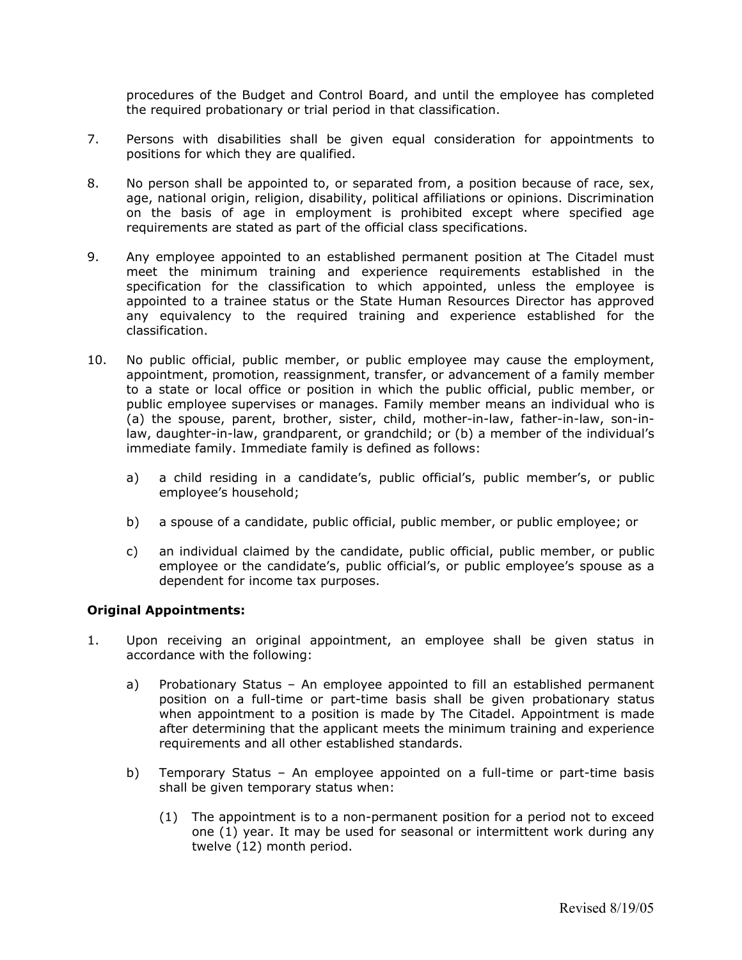procedures of the Budget and Control Board, and until the employee has completed the required probationary or trial period in that classification.

- 7. Persons with disabilities shall be given equal consideration for appointments to positions for which they are qualified.
- 8. No person shall be appointed to, or separated from, a position because of race, sex, age, national origin, religion, disability, political affiliations or opinions. Discrimination on the basis of age in employment is prohibited except where specified age requirements are stated as part of the official class specifications.
- 9. Any employee appointed to an established permanent position at The Citadel must meet the minimum training and experience requirements established in the specification for the classification to which appointed, unless the employee is appointed to a trainee status or the State Human Resources Director has approved any equivalency to the required training and experience established for the classification.
- 10. No public official, public member, or public employee may cause the employment, appointment, promotion, reassignment, transfer, or advancement of a family member to a state or local office or position in which the public official, public member, or public employee supervises or manages. Family member means an individual who is (a) the spouse, parent, brother, sister, child, mother-in-law, father-in-law, son-inlaw, daughter-in-law, grandparent, or grandchild; or (b) a member of the individual's immediate family. Immediate family is defined as follows:
	- a) a child residing in a candidate's, public official's, public member's, or public employee's household;
	- b) a spouse of a candidate, public official, public member, or public employee; or
	- c) an individual claimed by the candidate, public official, public member, or public employee or the candidate's, public official's, or public employee's spouse as a dependent for income tax purposes.

### **Original Appointments:**

- 1. Upon receiving an original appointment, an employee shall be given status in accordance with the following:
	- a) Probationary Status An employee appointed to fill an established permanent position on a full-time or part-time basis shall be given probationary status when appointment to a position is made by The Citadel. Appointment is made after determining that the applicant meets the minimum training and experience requirements and all other established standards.
	- b) Temporary Status An employee appointed on a full-time or part-time basis shall be given temporary status when:
		- (1) The appointment is to a non-permanent position for a period not to exceed one (1) year. It may be used for seasonal or intermittent work during any twelve (12) month period.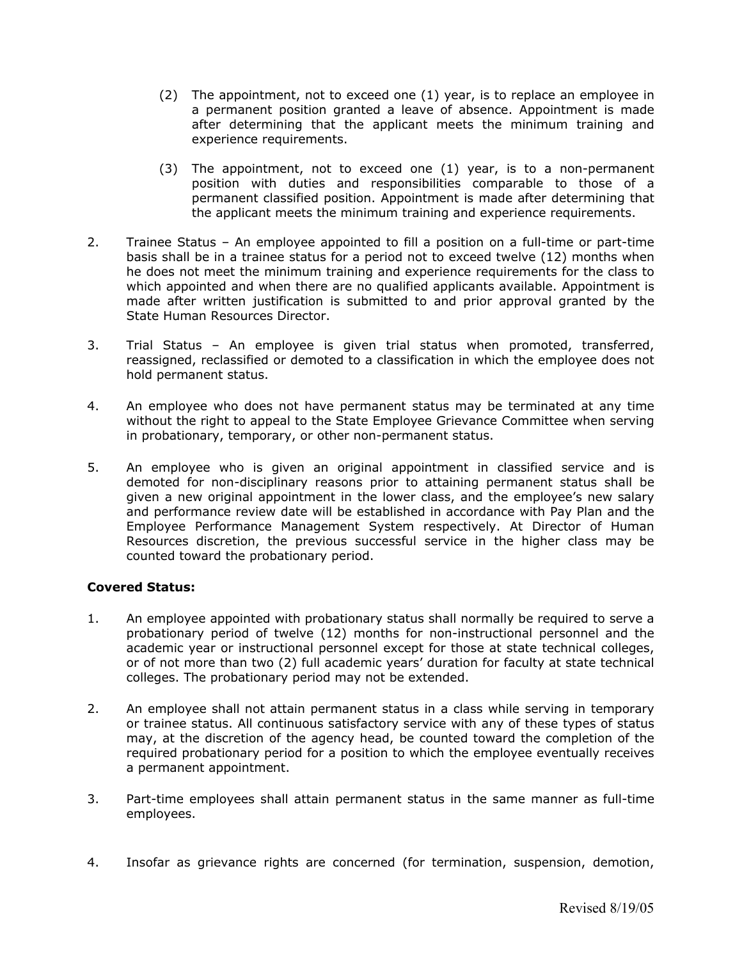- (2) The appointment, not to exceed one (1) year, is to replace an employee in a permanent position granted a leave of absence. Appointment is made after determining that the applicant meets the minimum training and experience requirements.
- (3) The appointment, not to exceed one (1) year, is to a non-permanent position with duties and responsibilities comparable to those of a permanent classified position. Appointment is made after determining that the applicant meets the minimum training and experience requirements.
- 2. Trainee Status An employee appointed to fill a position on a full-time or part-time basis shall be in a trainee status for a period not to exceed twelve (12) months when he does not meet the minimum training and experience requirements for the class to which appointed and when there are no qualified applicants available. Appointment is made after written justification is submitted to and prior approval granted by the State Human Resources Director.
- 3. Trial Status An employee is given trial status when promoted, transferred, reassigned, reclassified or demoted to a classification in which the employee does not hold permanent status.
- 4. An employee who does not have permanent status may be terminated at any time without the right to appeal to the State Employee Grievance Committee when serving in probationary, temporary, or other non-permanent status.
- 5. An employee who is given an original appointment in classified service and is demoted for non-disciplinary reasons prior to attaining permanent status shall be given a new original appointment in the lower class, and the employee's new salary and performance review date will be established in accordance with Pay Plan and the Employee Performance Management System respectively. At Director of Human Resources discretion, the previous successful service in the higher class may be counted toward the probationary period.

### **Covered Status:**

- 1. An employee appointed with probationary status shall normally be required to serve a probationary period of twelve (12) months for non-instructional personnel and the academic year or instructional personnel except for those at state technical colleges, or of not more than two (2) full academic years' duration for faculty at state technical colleges. The probationary period may not be extended.
- 2. An employee shall not attain permanent status in a class while serving in temporary or trainee status. All continuous satisfactory service with any of these types of status may, at the discretion of the agency head, be counted toward the completion of the required probationary period for a position to which the employee eventually receives a permanent appointment.
- 3. Part-time employees shall attain permanent status in the same manner as full-time employees.
- 4. Insofar as grievance rights are concerned (for termination, suspension, demotion,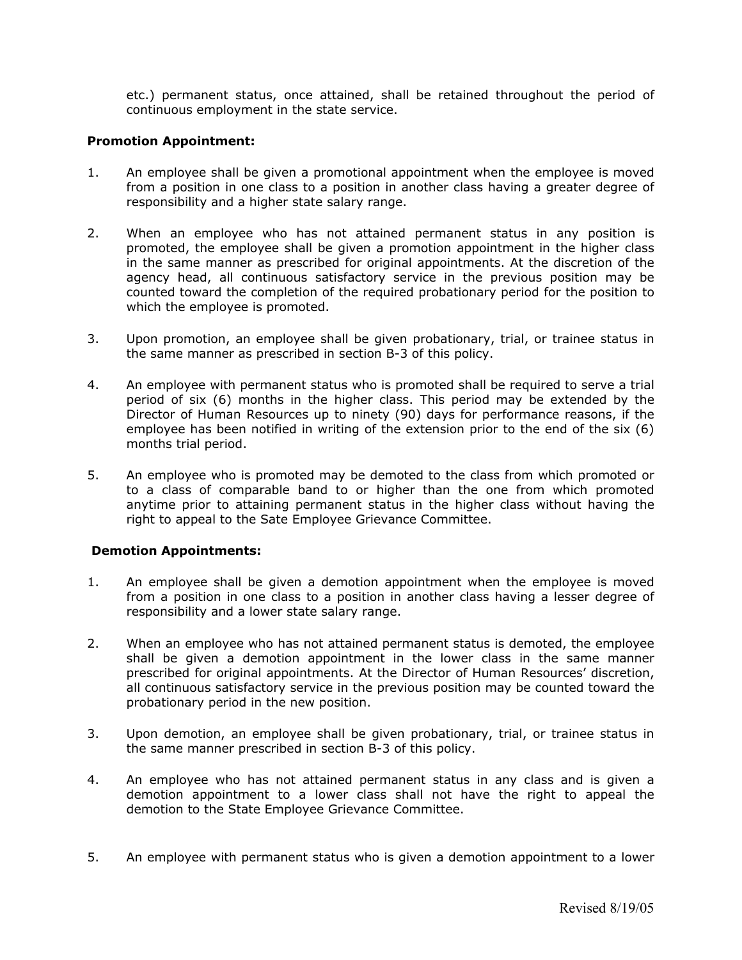etc.) permanent status, once attained, shall be retained throughout the period of continuous employment in the state service.

### **Promotion Appointment:**

- 1. An employee shall be given a promotional appointment when the employee is moved from a position in one class to a position in another class having a greater degree of responsibility and a higher state salary range.
- 2. When an employee who has not attained permanent status in any position is promoted, the employee shall be given a promotion appointment in the higher class in the same manner as prescribed for original appointments. At the discretion of the agency head, all continuous satisfactory service in the previous position may be counted toward the completion of the required probationary period for the position to which the employee is promoted.
- 3. Upon promotion, an employee shall be given probationary, trial, or trainee status in the same manner as prescribed in section B-3 of this policy.
- 4. An employee with permanent status who is promoted shall be required to serve a trial period of six (6) months in the higher class. This period may be extended by the Director of Human Resources up to ninety (90) days for performance reasons, if the employee has been notified in writing of the extension prior to the end of the six (6) months trial period.
- 5. An employee who is promoted may be demoted to the class from which promoted or to a class of comparable band to or higher than the one from which promoted anytime prior to attaining permanent status in the higher class without having the right to appeal to the Sate Employee Grievance Committee.

### **Demotion Appointments:**

- 1. An employee shall be given a demotion appointment when the employee is moved from a position in one class to a position in another class having a lesser degree of responsibility and a lower state salary range.
- 2. When an employee who has not attained permanent status is demoted, the employee shall be given a demotion appointment in the lower class in the same manner prescribed for original appointments. At the Director of Human Resources' discretion, all continuous satisfactory service in the previous position may be counted toward the probationary period in the new position.
- 3. Upon demotion, an employee shall be given probationary, trial, or trainee status in the same manner prescribed in section B-3 of this policy.
- 4. An employee who has not attained permanent status in any class and is given a demotion appointment to a lower class shall not have the right to appeal the demotion to the State Employee Grievance Committee.
- 5. An employee with permanent status who is given a demotion appointment to a lower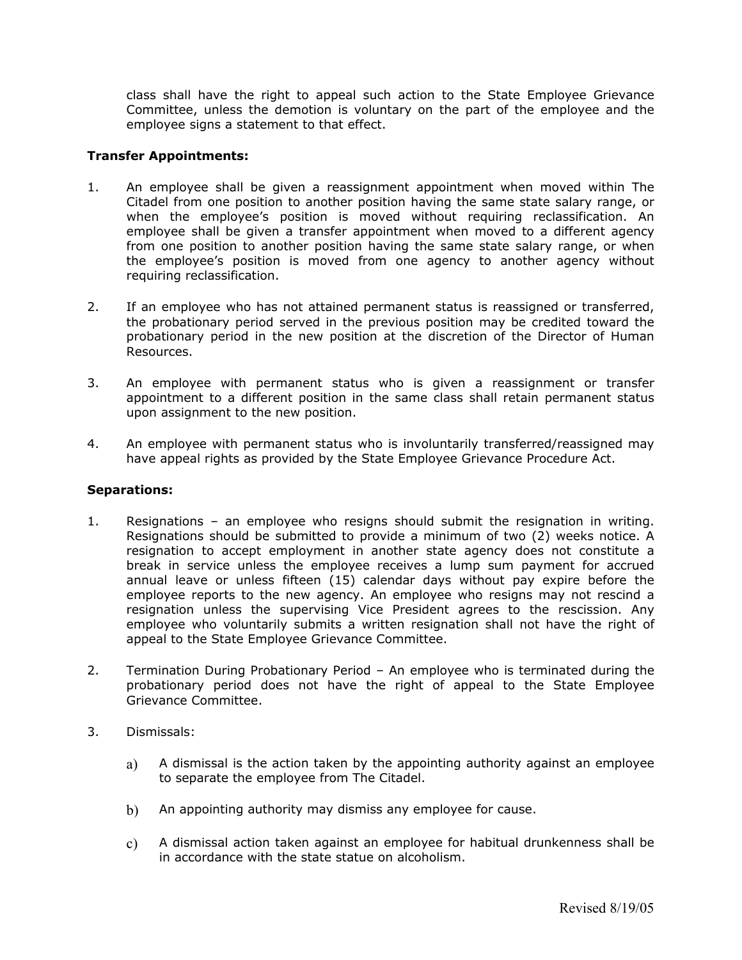class shall have the right to appeal such action to the State Employee Grievance Committee, unless the demotion is voluntary on the part of the employee and the employee signs a statement to that effect.

### **Transfer Appointments:**

- 1. An employee shall be given a reassignment appointment when moved within The Citadel from one position to another position having the same state salary range, or when the employee's position is moved without requiring reclassification. An employee shall be given a transfer appointment when moved to a different agency from one position to another position having the same state salary range, or when the employee's position is moved from one agency to another agency without requiring reclassification.
- 2. If an employee who has not attained permanent status is reassigned or transferred, the probationary period served in the previous position may be credited toward the probationary period in the new position at the discretion of the Director of Human Resources.
- 3. An employee with permanent status who is given a reassignment or transfer appointment to a different position in the same class shall retain permanent status upon assignment to the new position.
- 4. An employee with permanent status who is involuntarily transferred/reassigned may have appeal rights as provided by the State Employee Grievance Procedure Act.

### **Separations:**

- 1. Resignations an employee who resigns should submit the resignation in writing. Resignations should be submitted to provide a minimum of two (2) weeks notice. A resignation to accept employment in another state agency does not constitute a break in service unless the employee receives a lump sum payment for accrued annual leave or unless fifteen (15) calendar days without pay expire before the employee reports to the new agency. An employee who resigns may not rescind a resignation unless the supervising Vice President agrees to the rescission. Any employee who voluntarily submits a written resignation shall not have the right of appeal to the State Employee Grievance Committee.
- 2. Termination During Probationary Period An employee who is terminated during the probationary period does not have the right of appeal to the State Employee Grievance Committee.
- 3. Dismissals:
	- a) A dismissal is the action taken by the appointing authority against an employee to separate the employee from The Citadel.
	- b) An appointing authority may dismiss any employee for cause.
	- c) A dismissal action taken against an employee for habitual drunkenness shall be in accordance with the state statue on alcoholism.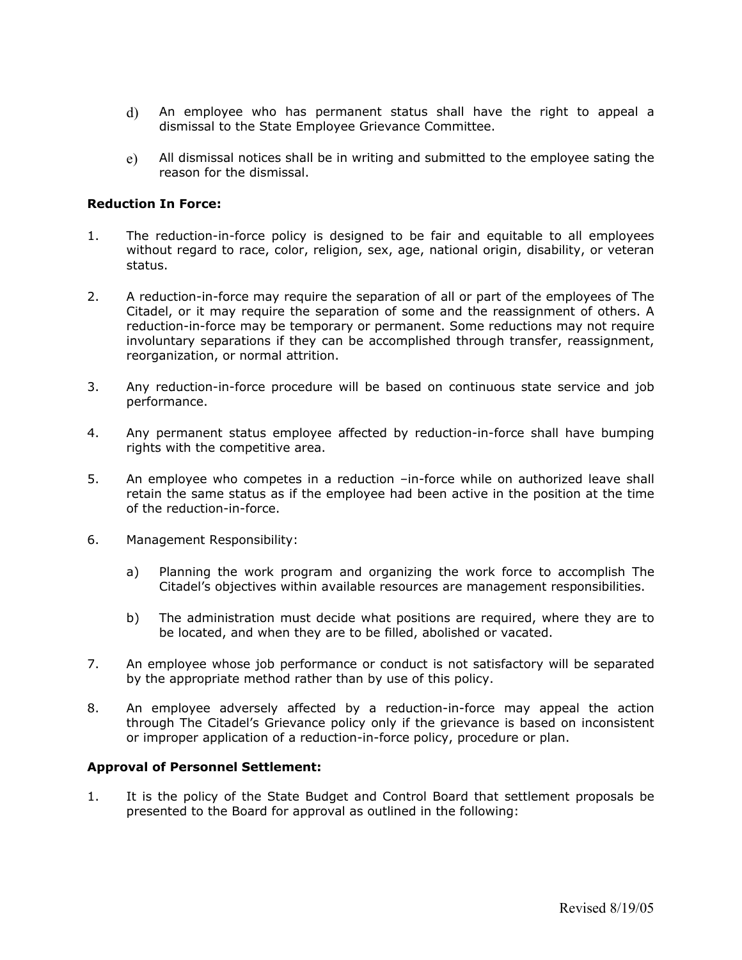- d) An employee who has permanent status shall have the right to appeal a dismissal to the State Employee Grievance Committee.
- e) All dismissal notices shall be in writing and submitted to the employee sating the reason for the dismissal.

### **Reduction In Force:**

- 1. The reduction-in-force policy is designed to be fair and equitable to all employees without regard to race, color, religion, sex, age, national origin, disability, or veteran status.
- 2. A reduction-in-force may require the separation of all or part of the employees of The Citadel, or it may require the separation of some and the reassignment of others. A reduction-in-force may be temporary or permanent. Some reductions may not require involuntary separations if they can be accomplished through transfer, reassignment, reorganization, or normal attrition.
- 3. Any reduction-in-force procedure will be based on continuous state service and job performance.
- 4. Any permanent status employee affected by reduction-in-force shall have bumping rights with the competitive area.
- 5. An employee who competes in a reduction –in-force while on authorized leave shall retain the same status as if the employee had been active in the position at the time of the reduction-in-force.
- 6. Management Responsibility:
	- a) Planning the work program and organizing the work force to accomplish The Citadel's objectives within available resources are management responsibilities.
	- b) The administration must decide what positions are required, where they are to be located, and when they are to be filled, abolished or vacated.
- 7. An employee whose job performance or conduct is not satisfactory will be separated by the appropriate method rather than by use of this policy.
- 8. An employee adversely affected by a reduction-in-force may appeal the action through The Citadel's Grievance policy only if the grievance is based on inconsistent or improper application of a reduction-in-force policy, procedure or plan.

#### **Approval of Personnel Settlement:**

1. It is the policy of the State Budget and Control Board that settlement proposals be presented to the Board for approval as outlined in the following: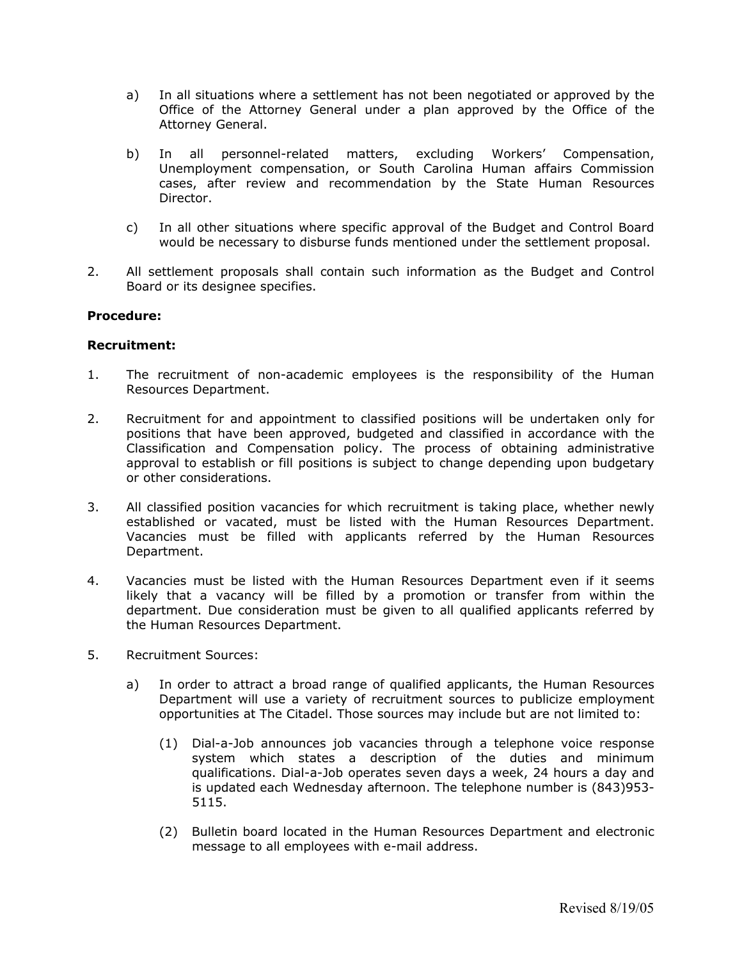- a) In all situations where a settlement has not been negotiated or approved by the Office of the Attorney General under a plan approved by the Office of the Attorney General.
- b) In all personnel-related matters, excluding Workers' Compensation, Unemployment compensation, or South Carolina Human affairs Commission cases, after review and recommendation by the State Human Resources Director.
- c) In all other situations where specific approval of the Budget and Control Board would be necessary to disburse funds mentioned under the settlement proposal.
- 2. All settlement proposals shall contain such information as the Budget and Control Board or its designee specifies.

### **Procedure:**

#### **Recruitment:**

- 1. The recruitment of non-academic employees is the responsibility of the Human Resources Department.
- 2. Recruitment for and appointment to classified positions will be undertaken only for positions that have been approved, budgeted and classified in accordance with the Classification and Compensation policy. The process of obtaining administrative approval to establish or fill positions is subject to change depending upon budgetary or other considerations.
- 3. All classified position vacancies for which recruitment is taking place, whether newly established or vacated, must be listed with the Human Resources Department. Vacancies must be filled with applicants referred by the Human Resources Department.
- 4. Vacancies must be listed with the Human Resources Department even if it seems likely that a vacancy will be filled by a promotion or transfer from within the department. Due consideration must be given to all qualified applicants referred by the Human Resources Department.
- 5. Recruitment Sources:
	- a) In order to attract a broad range of qualified applicants, the Human Resources Department will use a variety of recruitment sources to publicize employment opportunities at The Citadel. Those sources may include but are not limited to:
		- (1) Dial-a-Job announces job vacancies through a telephone voice response system which states a description of the duties and minimum qualifications. Dial-a-Job operates seven days a week, 24 hours a day and is updated each Wednesday afternoon. The telephone number is (843)953- 5115.
		- (2) Bulletin board located in the Human Resources Department and electronic message to all employees with e-mail address.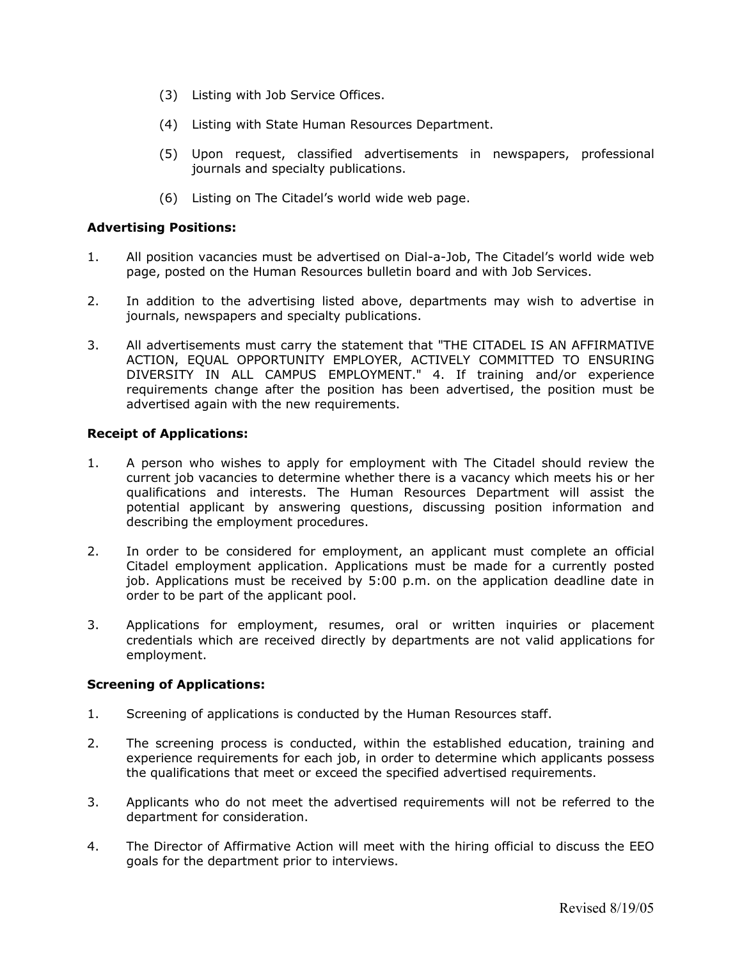- (3) Listing with Job Service Offices.
- (4) Listing with State Human Resources Department.
- (5) Upon request, classified advertisements in newspapers, professional journals and specialty publications.
- (6) Listing on The Citadel's world wide web page.

### **Advertising Positions:**

- 1. All position vacancies must be advertised on Dial-a-Job, The Citadel's world wide web page, posted on the Human Resources bulletin board and with Job Services.
- 2. In addition to the advertising listed above, departments may wish to advertise in journals, newspapers and specialty publications.
- 3. All advertisements must carry the statement that "THE CITADEL IS AN AFFIRMATIVE ACTION, EQUAL OPPORTUNITY EMPLOYER, ACTIVELY COMMITTED TO ENSURING DIVERSITY IN ALL CAMPUS EMPLOYMENT." 4. If training and/or experience requirements change after the position has been advertised, the position must be advertised again with the new requirements.

### **Receipt of Applications:**

- 1. A person who wishes to apply for employment with The Citadel should review the current job vacancies to determine whether there is a vacancy which meets his or her qualifications and interests. The Human Resources Department will assist the potential applicant by answering questions, discussing position information and describing the employment procedures.
- 2. In order to be considered for employment, an applicant must complete an official Citadel employment application. Applications must be made for a currently posted job. Applications must be received by 5:00 p.m. on the application deadline date in order to be part of the applicant pool.
- 3. Applications for employment, resumes, oral or written inquiries or placement credentials which are received directly by departments are not valid applications for employment.

### **Screening of Applications:**

- 1. Screening of applications is conducted by the Human Resources staff.
- 2. The screening process is conducted, within the established education, training and experience requirements for each job, in order to determine which applicants possess the qualifications that meet or exceed the specified advertised requirements.
- 3. Applicants who do not meet the advertised requirements will not be referred to the department for consideration.
- 4. The Director of Affirmative Action will meet with the hiring official to discuss the EEO goals for the department prior to interviews.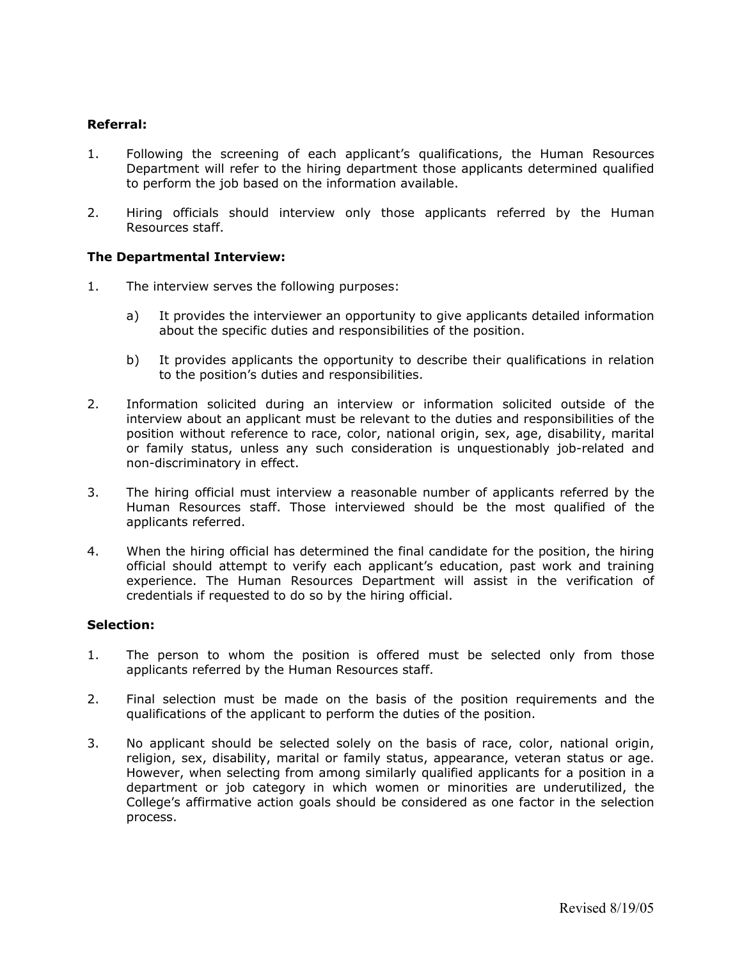### **Referral:**

- 1. Following the screening of each applicant's qualifications, the Human Resources Department will refer to the hiring department those applicants determined qualified to perform the job based on the information available.
- 2. Hiring officials should interview only those applicants referred by the Human Resources staff.

### **The Departmental Interview:**

- 1. The interview serves the following purposes:
	- a) It provides the interviewer an opportunity to give applicants detailed information about the specific duties and responsibilities of the position.
	- b) It provides applicants the opportunity to describe their qualifications in relation to the position's duties and responsibilities.
- 2. Information solicited during an interview or information solicited outside of the interview about an applicant must be relevant to the duties and responsibilities of the position without reference to race, color, national origin, sex, age, disability, marital or family status, unless any such consideration is unquestionably job-related and non-discriminatory in effect.
- 3. The hiring official must interview a reasonable number of applicants referred by the Human Resources staff. Those interviewed should be the most qualified of the applicants referred.
- 4. When the hiring official has determined the final candidate for the position, the hiring official should attempt to verify each applicant's education, past work and training experience. The Human Resources Department will assist in the verification of credentials if requested to do so by the hiring official.

#### **Selection:**

- 1. The person to whom the position is offered must be selected only from those applicants referred by the Human Resources staff.
- 2. Final selection must be made on the basis of the position requirements and the qualifications of the applicant to perform the duties of the position.
- 3. No applicant should be selected solely on the basis of race, color, national origin, religion, sex, disability, marital or family status, appearance, veteran status or age. However, when selecting from among similarly qualified applicants for a position in a department or job category in which women or minorities are underutilized, the College's affirmative action goals should be considered as one factor in the selection process.